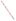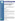# Technical Factsheet on: DI (2- ETHYLHEXYL) ADIPATE

[List of Contaminants](http://www.epa.gov/safewater/hfacts.html)

As part of the Drinking Water and Health pages, this fact sheet is part of a larger publication: National Primary Drinking Water Regulations

Drinking Water Standards MCLG: 0.4 mg/L MCL: 0.4 mg/L HAL(child): 1 day: 20 mg/L; Longer-term: 20 mg/L

### Health Effects Summary

Acute: EPA has no data on the acute toxicity of di (2-ethylhexyl) adipate, or DEHA, which is relevant to the drinking water context. Drinking water levels which are considered "safe" for short-term exposures for a 10-kg (22 lb.) child consuming 1 liter of water per day: upto a 7 year exposure to 20 mg/L.

Chronic: DEHA has the potential to cause the following health effects from long-term exposures at levels above the MCL: reduced body weight and bone mass; damage to liver and testes.

Cancer: There is some evidence that DEHA may have the potential to cause cancer from a lifetime exposure at levels above the MCL.

## Usage Patterns

Adipate is used primarily as a plasticizer, commonly blended with general purpose plasticizers in processing polyvinyl and other polymers. It is also used as a solvent; in aircraft lubricants; as a hydraulic fluid; as a plasticizer or solvent in the following cosmetics: bath oils, eye shadow, cologne, foundations, rouge, blusher, nail-polish remover, moisturizers and indoor tanning preparations; in meat wrapping operations. Production of adipates in 1984 was 27.5 million pounds.

## Release Patterns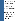Sources of adipates include fly ash from municipal waste incineration, wastewater effluents from publicly-owned treatment works (POTW) and chemical manufacturing plants. Adipates are also used as a plasticizer in PVC materials and is known to leach from plumbing made of PVC plastic. Thus, adipates have been recognized as a potential drinking water contaminant.

From 1987 to 1993, according to EPA's Toxic Chemical Release Inventory, adipate releases to land and water totalled over 450,000 lbs., of which about 94 percent was to land. These releases were primarily from gray and ductile iron foundries. The largest releases occurred in Ohio and Indiana. The largest direct releases to water occurred in Tennessee.

# Environmental Fate

If released to air, di(2-ethylhexyl) adipate (DEHA) can exist in both vapor and particulate phases. The vapor phase will degrade relatively rapidly by reaction with photochemically produced hydroxyl radicals (estimated half-life of 16 hr). The particulate phase can be physically removed from air by wet and dry deposition.

If released to soil or water, adipate is expected to biodegrade; activated sludge screening tests have shown that adipate biodegrades readily, with a half-life of 2.7 days. Estimated Koc values of 5004-48,600 suggest that adipate will be relatively immobile in soil (and not leach) and should partition from the water column to sediment in the aquatic environment. Volatilization is expected to be very slow (half-life of 160 days) and not environmentally important; aqueous hydrolysis is not expected to be important except in very alkaline waters (pH 9 or higher).

Dioctyl adipate was not acutely toxic to algae and fish at or above its water solubility of 0.78 mg/l. It was acutely and chronically toxic to Daphnia magna at 480-850 and 24-52 ug/l, respectively. A comparison of the mean environmental water concentration of dioctyl adipate (<0.5 ug/L) with laboratory chronic toxicity values for Daphnia magna showed a safety margin of approximately 3 under present use and disposal patterns, dioctyl adipate presents a small hazard to the freshwater aquatic environment. A whole-fish BCF of 27 was observed for blue-gill fish was far less than an estimated BCF value in excess of 2700 calculated from a measured log Kow of >6.11; the difference is thought to be due to metabolism of adipate by the bluegill. This measured BCF indicates that bioaccumulation and persistence in fish is not important environmentally but may be important in aquatic organisms that are unable to metabolize adipate.

Occupational exposure can occur through dermal contact and inhalation. The general population can be exposed through consumption of foods stored in plastic films; DEHA is used as plasticizer in various food storage wraps and it has been shown to migrate into stored foods. Exposure via drinking water is also possible since DEHA is also used as a plasticizer in PVC materials and is known to leach from plumbing made of PVC plastic.

# Chemical/ Physical Properties

CAS Number: 103-23-1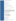Color/ Form/Odor: Light colored, oily liquid with an aromatic odor

M.P.: -67.8 C B.P.: 214 C

Vapor Pressure: 8.5x10-7 mmHg at 25 C

Octanol/Water Partition (Kow): Log Kow = >6.11

Density/Spec. Grav.: 0.922 at 25 C

Solubility: 0.78 g/L of water at 22 C; Slightly soluble in water

Soil sorption coefficient: Koc estimated at 5004 to 48,000; immobile in soil

Odor/Taste Thresholds: N/A

Bioconcentration Factor: BCF = 27 in fish; not expected to bioconcentrate in aquatic organisms.

Henry's Law Coefficient: 4.34x10-7 atm-cu m/mole at 20 C;

Trade Names/Synonyms: Adipic acid, bis(2-ethylhexyl) ester; Bis(2-ethylhexyl) hexanedioate; BEHA; DEHA; Adipol 2EH; Bisoflex DOA; Dioctyl adipate; Effomoll DOA; Flexol A26; Kodflex DOA; Monoplex DOA; Octyl adipate; Plastomoll DOA; Sicol 250; Truflex DOA; Vestinol OA; Wickenol 158; Witamol 320; Ergoplast AdDO; Kemester 5652; Reomol DOA; Rucoflex plasticizer DOA; Staflex DOA. Adipate, (2-diethylhexyl)

# Other Regulatory Information

Monitoring For Ground/Surface Water Sources:

Initial Frequency- 4 quarterly samples every 3 years Repeat Frequency- If no detections during initial round: 2 quarterly per year if serving >3300 persons; 1 sample per 3 years for smaller systems Triggers - Return to Initial Freq. if detect at >0.0006 mg/L

Analysis:

#### Reference Source Method Numbers

EPA 600/4-88-039 506; 525.2

Treatment- Best Available Technologies: Granular Activated Charcoal

Toxic Release Inventory - Releases to Water and Land, 1987 to 1993 (in pounds):